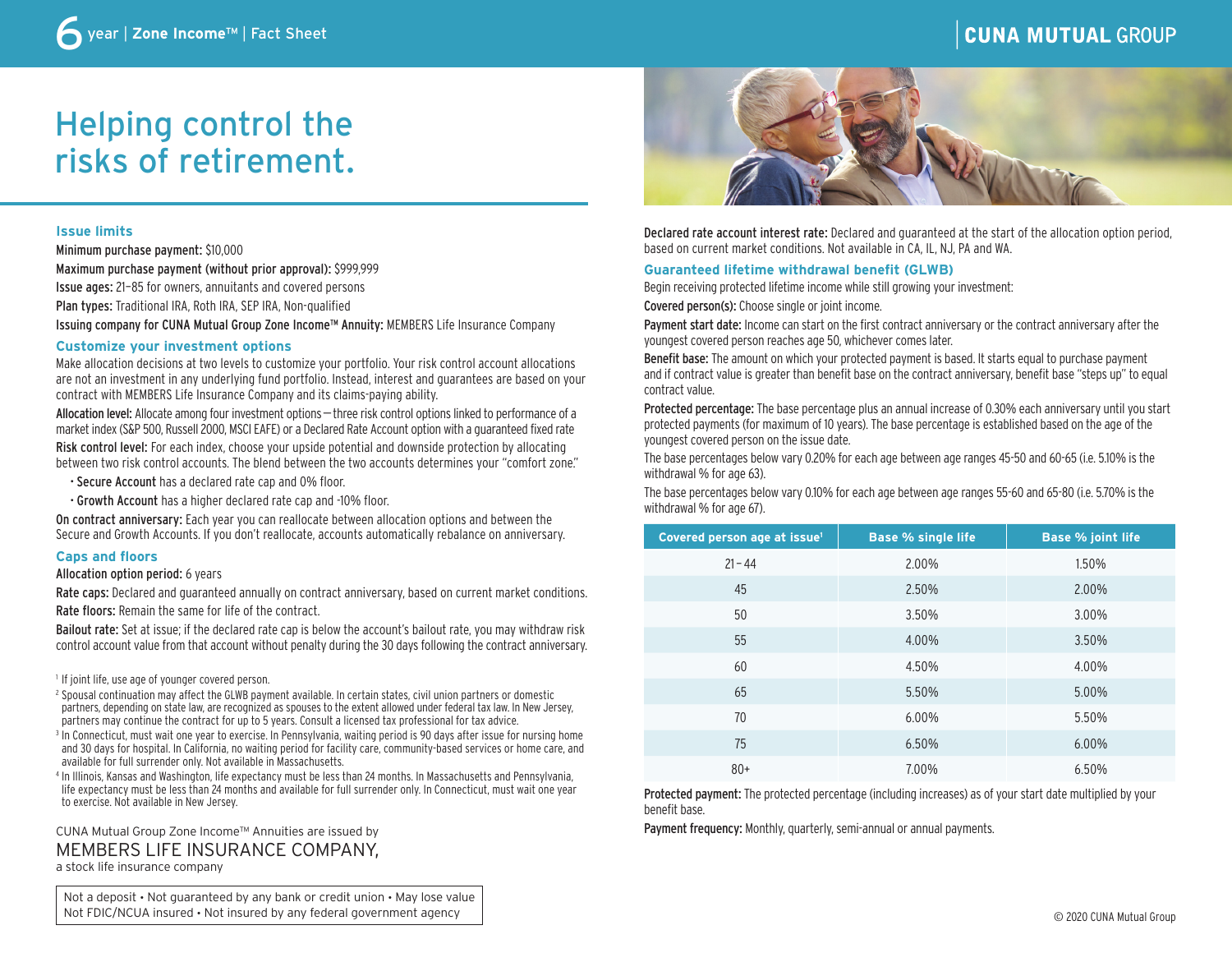# **CUNA MUTUAL GROUP**

# Helping control the risks of retirement.

# **Issue limits**

Minimum purchase payment: \$10,000 Maximum purchase payment (without prior approval): \$999,999 Issue ages: 21–85 for owners, annuitants and covered persons Plan types: Traditional IRA, Roth IRA, SEP IRA, Non-qualified Issuing company for CUNA Mutual Group Zone Income™ Annuity: MEMBERS Life Insurance Company

# **Customize your investment options**

Make allocation decisions at two levels to customize your portfolio. Your risk control account allocations are not an investment in any underlying fund portfolio. Instead, interest and guarantees are based on your contract with MEMBERS Life Insurance Company and its claims-paying ability.

Allocation level: Allocate among four investment options—three risk control options linked to performance of a market index (S&P 500, Russell 2000, MSCI EAFE) or a Declared Rate Account option with a guaranteed fixed rate

Risk control level: For each index, choose your upside potential and downside protection by allocating between two risk control accounts. The blend between the two accounts determines your "comfort zone."

- Secure Account has a declared rate cap and 0% floor.
- Growth Account has a higher declared rate cap and -10% floor.

On contract anniversary: Each year you can reallocate between allocation options and between the Secure and Growth Accounts. If you don't reallocate, accounts automatically rebalance on anniversary.

#### **Caps and floors**

Allocation option period: 6 years

Rate caps: Declared and guaranteed annually on contract anniversary, based on current market conditions. Rate floors: Remain the same for life of the contract.

Bailout rate: Set at issue; if the declared rate cap is below the account's bailout rate, you may withdraw risk control account value from that account without penalty during the 30 days following the contract anniversary.

<sup>1</sup> If joint life, use age of younger covered person.

- <sup>2</sup> Spousal continuation may affect the GLWB payment available. In certain states, civil union partners or domestic partners, depending on state law, are recognized as spouses to the extent allowed under federal tax law. In New Jersey, partners may continue the contract for up to 5 years. Consult a licensed tax professional for tax advice.
- <sup>3</sup> In Connecticut, must wait one year to exercise. In Pennsylvania, waiting period is 90 days after issue for nursing home and 30 days for hospital. In California, no waiting period for facility care, community-based services or home care, and available for full surrender only. Not available in Massachusetts.
- <sup>4</sup> In Illinois, Kansas and Washington, life expectancy must be less than 24 months. In Massachusetts and Pennsylvania, life expectancy must be less than 24 months and available for full surrender only. In Connecticut, must wait one year to exercise. Not available in New Jersey.

CUNA Mutual Group Zone Income™ Annuities are issued by MEMBERS LIFE INSURANCE COMPANY, a stock life insurance company

Not a deposit • Not guaranteed by any bank or credit union • May lose value Not FDIC/NCUA insured • Not insured by any federal government agency



Declared rate account interest rate: Declared and guaranteed at the start of the allocation option period, based on current market conditions. Not available in CA, IL, NJ, PA and WA.

#### **Guaranteed lifetime withdrawal benefit (GLWB)**

Begin receiving protected lifetime income while still growing your investment:

Covered person(s): Choose single or joint income.

Payment start date: Income can start on the first contract anniversary or the contract anniversary after the youngest covered person reaches age 50, whichever comes later.

Benefit base: The amount on which your protected payment is based. It starts equal to purchase payment and if contract value is greater than benefit base on the contract anniversary, benefit base "steps up" to equal contract value.

Protected percentage: The base percentage plus an annual increase of 0.30% each anniversary until you start protected payments (for maximum of 10 years). The base percentage is established based on the age of the youngest covered person on the issue date.

The base percentages below vary 0.20% for each age between age ranges 45-50 and 60-65 (i.e. 5.10% is the withdrawal % for age 63).

The base percentages below vary 0.10% for each age between age ranges 55-60 and 65-80 (i.e. 5.70% is the withdrawal % for age 67).

| Covered person age at issue <sup>1</sup> | <b>Base % single life</b> | <b>Base % joint life</b> |
|------------------------------------------|---------------------------|--------------------------|
| $21 - 44$                                | 2.00%                     | 1.50%                    |
| 45                                       | 2.50%                     | 2.00%                    |
| 50                                       | 3.50%                     | 3.00%                    |
| 55                                       | 4.00%                     | 3.50%                    |
| 60                                       | 4.50%                     | 4.00%                    |
| 65                                       | 5.50%                     | 5.00%                    |
| 70                                       | 6.00%                     | 5.50%                    |
| 75                                       | 6.50%                     | 6.00%                    |
| $80+$                                    | 7.00%                     | 6.50%                    |

Protected payment: The protected percentage (including increases) as of your start date multiplied by your benefit base.

Payment frequency: Monthly, quarterly, semi-annual or annual payments.